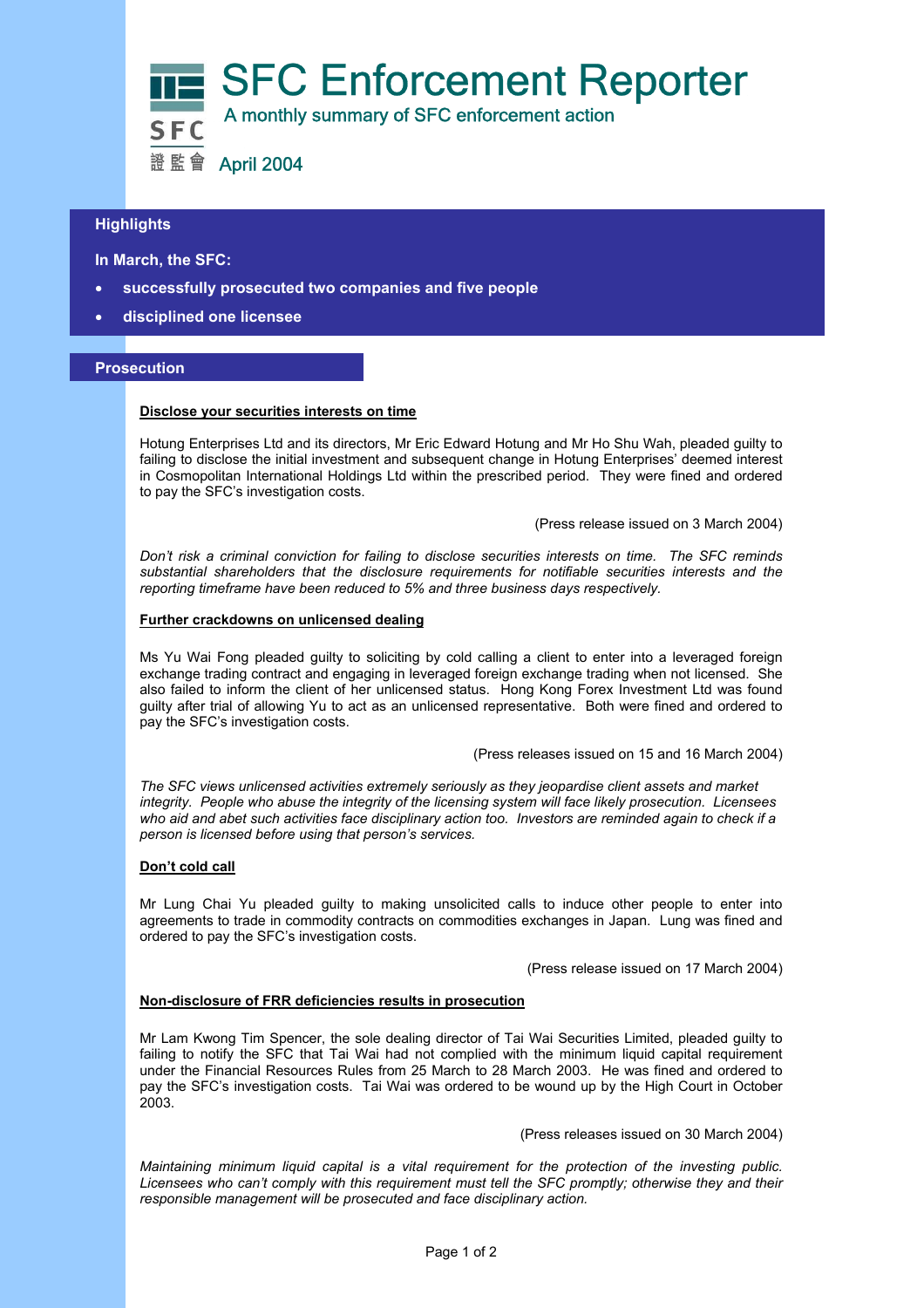

# **Highlights**

 **In March, the SFC:** 

- **successfully prosecuted two companies and five people**
- **disciplined one licensee**

## **Prosecution**

### **Disclose your securities interests on time**

Hotung Enterprises Ltd and its directors, Mr Eric Edward Hotung and Mr Ho Shu Wah, pleaded guilty to failing to disclose the initial investment and subsequent change in Hotung Enterprises' deemed interest in Cosmopolitan International Holdings Ltd within the prescribed period. They were fined and ordered to pay the SFC's investigation costs.

(Press release issued on 3 March 2004)

*Don't risk a criminal conviction for failing to disclose securities interests on time. The SFC reminds substantial shareholders that the disclosure requirements for notifiable securities interests and the reporting timeframe have been reduced to 5% and three business days respectively.* 

### **Further crackdowns on unlicensed dealing**

Ms Yu Wai Fong pleaded guilty to soliciting by cold calling a client to enter into a leveraged foreign exchange trading contract and engaging in leveraged foreign exchange trading when not licensed. She also failed to inform the client of her unlicensed status. Hong Kong Forex Investment Ltd was found guilty after trial of allowing Yu to act as an unlicensed representative. Both were fined and ordered to pay the SFC's investigation costs.

(Press releases issued on 15 and 16 March 2004)

*The SFC views unlicensed activities extremely seriously as they jeopardise client assets and market integrity. People who abuse the integrity of the licensing system will face likely prosecution. Licensees who aid and abet such activities face disciplinary action too. Investors are reminded again to check if a person is licensed before using that person's services.*

## **Don't cold call**

Mr Lung Chai Yu pleaded guilty to making unsolicited calls to induce other people to enter into agreements to trade in commodity contracts on commodities exchanges in Japan. Lung was fined and ordered to pay the SFC's investigation costs.

(Press release issued on 17 March 2004)

## **Non-disclosure of FRR deficiencies results in prosecution**

Mr Lam Kwong Tim Spencer, the sole dealing director of Tai Wai Securities Limited, pleaded guilty to failing to notify the SFC that Tai Wai had not complied with the minimum liquid capital requirement under the Financial Resources Rules from 25 March to 28 March 2003. He was fined and ordered to pay the SFC's investigation costs. Tai Wai was ordered to be wound up by the High Court in October 2003.

(Press releases issued on 30 March 2004)

*Maintaining minimum liquid capital is a vital requirement for the protection of the investing public. Licensees who can't comply with this requirement must tell the SFC promptly; otherwise they and their responsible management will be prosecuted and face disciplinary action.*